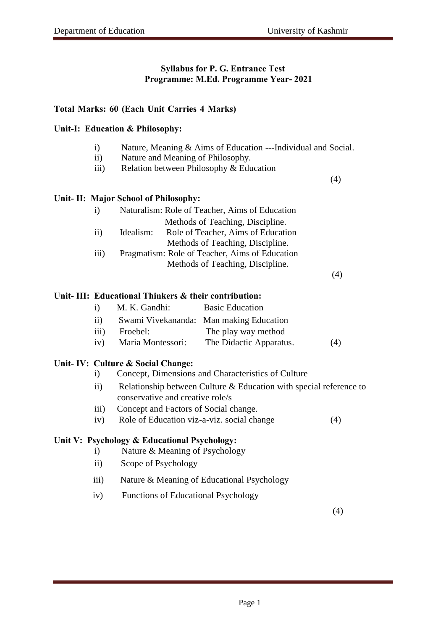# **Syllabus for P. G. Entrance Test Programme: M.Ed. Programme Year- 2021**

#### **Total Marks: 60 (Each Unit Carries 4 Marks)**

#### **Unit-I: Education & Philosophy:**

- i) Nature, Meaning & Aims of Education ---Individual and Social.
- ii) Nature and Meaning of Philosophy.
- iii) Relation between Philosophy & Education

#### **Unit- II: Major School of Philosophy:**

| $\mathbf{i}$     | Naturalism: Role of Teacher, Aims of Education  |  |  |
|------------------|-------------------------------------------------|--|--|
|                  | Methods of Teaching, Discipline.                |  |  |
| $\rm ii)$        | Role of Teacher, Aims of Education<br>Idealism: |  |  |
|                  | Methods of Teaching, Discipline.                |  |  |
| $\overline{iii}$ | Pragmatism: Role of Teacher, Aims of Education  |  |  |
|                  | Methods of Teaching, Discipline.                |  |  |

(4)

(4)

#### **Unit- III: Educational Thinkers & their contribution:**

| $\mathbf{i}$     | M. K. Gandhi:     | <b>Basic Education</b>                  |     |
|------------------|-------------------|-----------------------------------------|-----|
| $\overline{11}$  |                   | Swami Vivekananda: Man making Education |     |
| $\overline{111}$ | Froebel:          | The play way method                     |     |
| iv)              | Maria Montessori: | The Didactic Apparatus.                 | (4) |

#### **Unit- IV: Culture & Social Change:**

- i) Concept, Dimensions and Characteristics of Culture
- ii) Relationship between Culture & Education with special reference to conservative and creative role/s
- iii) Concept and Factors of Social change.
- iv) Role of Education viz-a-viz. social change (4)

#### **Unit V: Psychology & Educational Psychology:**

- i) Nature & Meaning of Psychology
- ii) Scope of Psychology
- iii) Nature & Meaning of Educational Psychology
- iv) Functions of Educational Psychology

(4)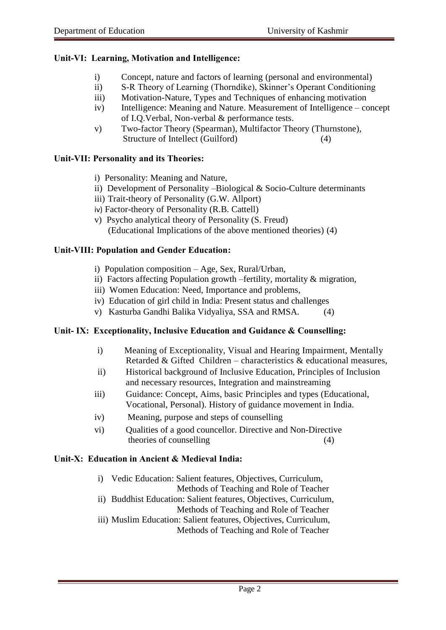# **Unit-VI: Learning, Motivation and Intelligence:**

- i) Concept, nature and factors of learning (personal and environmental)
- ii) S-R Theory of Learning (Thorndike), Skinner's Operant Conditioning
- iii) Motivation-Nature, Types and Techniques of enhancing motivation
- iv) Intelligence: Meaning and Nature. Measurement of Intelligence concept of I.Q.Verbal, Non-verbal & performance tests.
- v) Two-factor Theory (Spearman), Multifactor Theory (Thurnstone), Structure of Intellect (Guilford) (4)

## **Unit-VII: Personality and its Theories:**

- i) Personality: Meaning and Nature,
- ii) Development of Personality –Biological & Socio-Culture determinants
- iii) Trait-theory of Personality (G.W. Allport)
- iv) Factor-theory of Personality (R.B. Cattell)
- v) Psycho analytical theory of Personality (S. Freud) (Educational Implications of the above mentioned theories) (4)

## **Unit-VIII: Population and Gender Education:**

- i) Population composition Age, Sex, Rural/Urban,
- ii) Factors affecting Population growth –fertility, mortality & migration,
- iii) Women Education: Need, Importance and problems,
- iv) Education of girl child in India: Present status and challenges
- v) Kasturba Gandhi Balika Vidyaliya, SSA and RMSA. (4)

# **Unit- IX: Exceptionality, Inclusive Education and Guidance & Counselling:**

- i) Meaning of Exceptionality, Visual and Hearing Impairment, Mentally Retarded & Gifted Children – characteristics & educational measures,
- ii) Historical background of Inclusive Education, Principles of Inclusion and necessary resources, Integration and mainstreaming
- iii) Guidance: Concept, Aims, basic Principles and types (Educational, Vocational, Personal). History of guidance movement in India.
- iv) Meaning, purpose and steps of counselling
- vi) Qualities of a good councellor. Directive and Non-Directive theories of counselling (4)

# **Unit-X: Education in Ancient & Medieval India:**

i) Vedic Education: Salient features, Objectives, Curriculum, Methods of Teaching and Role of Teacher ii) Buddhist Education: Salient features, Objectives, Curriculum, Methods of Teaching and Role of Teacher iii) Muslim Education: Salient features, Objectives, Curriculum,

Methods of Teaching and Role of Teacher